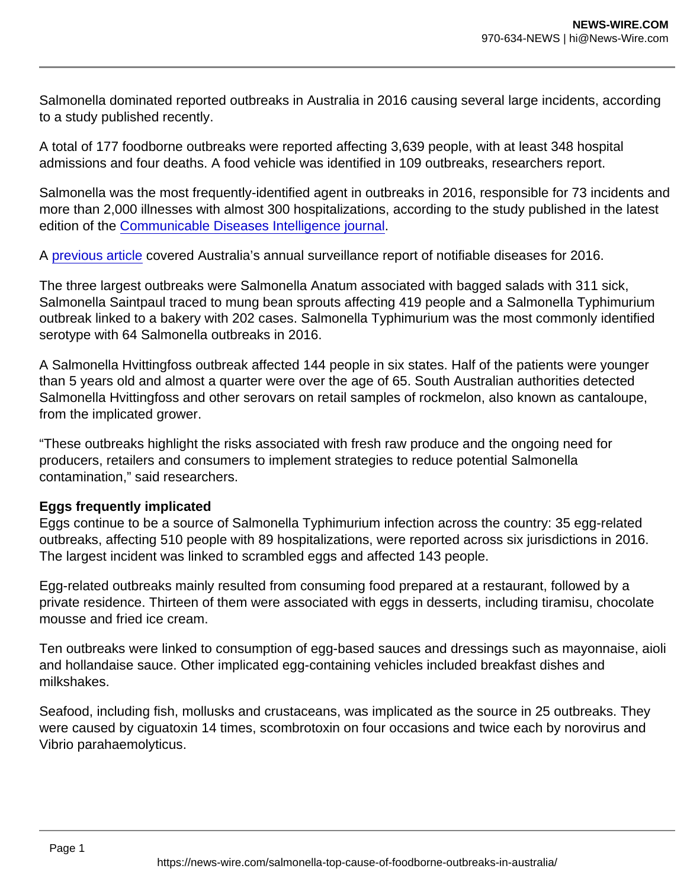Salmonella dominated reported outbreaks in Australia in 2016 causing several large incidents, according to a study published recently.

A total of 177 foodborne outbreaks were reported affecting 3,639 people, with at least 348 hospital admissions and four deaths. A food vehicle was identified in 109 outbreaks, researchers report.

Salmonella was the most frequently-identified agent in outbreaks in 2016, responsible for 73 incidents and more than 2,000 illnesses with almost 300 hospitalizations, according to the study published in the latest edition of the [Communicable Diseases Intelligence journal](https://www1.health.gov.au/internet/main/publishing.nsf/Content/5C71FABF639650F6CA2586520081286B/$File/monitoring_the_incidence_and_causes_of_disease_potentially_transmitted_by_food_in_australia_annual_report_of_the_ozfoodnet_network_2016.pdf).

A [previous article](https://www.foodsafetynews.com/2021/07/campylobacter-salmonella-at-record-highs-in-australia/) covered Australia's annual surveillance report of notifiable diseases for 2016.

The three largest outbreaks were Salmonella Anatum associated with bagged salads with 311 sick, Salmonella Saintpaul traced to mung bean sprouts affecting 419 people and a Salmonella Typhimurium outbreak linked to a bakery with 202 cases. Salmonella Typhimurium was the most commonly identified serotype with 64 Salmonella outbreaks in 2016.

A Salmonella Hvittingfoss outbreak affected 144 people in six states. Half of the patients were younger than 5 years old and almost a quarter were over the age of 65. South Australian authorities detected Salmonella Hvittingfoss and other serovars on retail samples of rockmelon, also known as cantaloupe, from the implicated grower.

"These outbreaks highlight the risks associated with fresh raw produce and the ongoing need for producers, retailers and consumers to implement strategies to reduce potential Salmonella contamination," said researchers.

## Eggs frequently implicated

Eggs continue to be a source of Salmonella Typhimurium infection across the country: 35 egg-related outbreaks, affecting 510 people with 89 hospitalizations, were reported across six jurisdictions in 2016. The largest incident was linked to scrambled eggs and affected 143 people.

Egg-related outbreaks mainly resulted from consuming food prepared at a restaurant, followed by a private residence. Thirteen of them were associated with eggs in desserts, including tiramisu, chocolate mousse and fried ice cream.

Ten outbreaks were linked to consumption of egg-based sauces and dressings such as mayonnaise, aioli and hollandaise sauce. Other implicated egg-containing vehicles included breakfast dishes and milkshakes.

Seafood, including fish, mollusks and crustaceans, was implicated as the source in 25 outbreaks. They were caused by ciguatoxin 14 times, scombrotoxin on four occasions and twice each by norovirus and Vibrio parahaemolyticus.